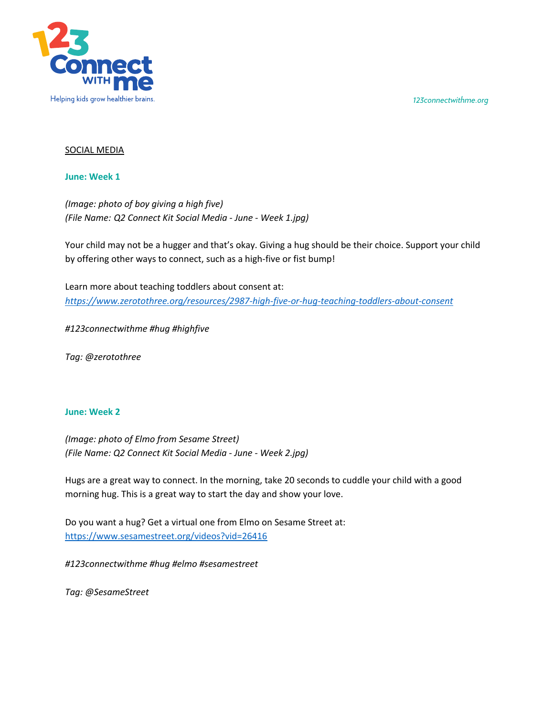*123connectwithme.org*



# SOCIAL MEDIA

#### **June: Week 1**

*(Image: photo of boy giving a high five) (File Name: Q2 Connect Kit Social Media - June - Week 1.jpg)*

Your child may not be a hugger and that's okay. Giving a hug should be their choice. Support your child by offering other ways to connect, such as a high-five or fist bump!

Learn more about teaching toddlers about consent at: *https://www.zerotothree.org/resources/2987-high-five-or-hug-teaching-toddlers-about-consent*

*#123connectwithme #hug #highfive* 

*Tag: @zerotothree*

# **June: Week 2**

*(Image: photo of Elmo from Sesame Street) (File Name: Q2 Connect Kit Social Media - June - Week 2.jpg)*

Hugs are a great way to connect. In the morning, take 20 seconds to cuddle your child with a good morning hug. This is a great way to start the day and show your love.

Do you want a hug? Get a virtual one from Elmo on Sesame Street at: https://www.sesamestreet.org/videos?vid=26416

*#123connectwithme #hug #elmo #sesamestreet*

*Tag: @SesameStreet*